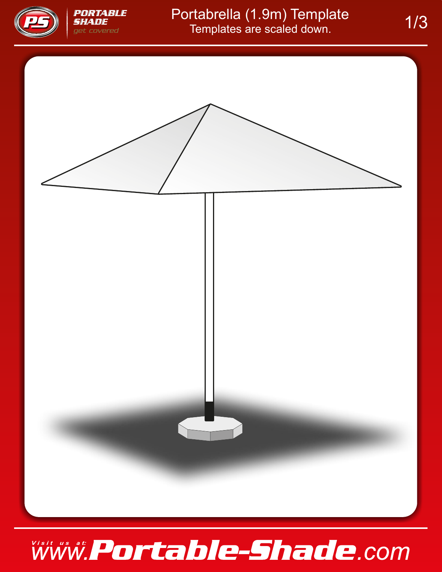

## Portabrella (1.9m) Template 1/3<br>Templates are scaled down.



### Www.Portable-Shade.com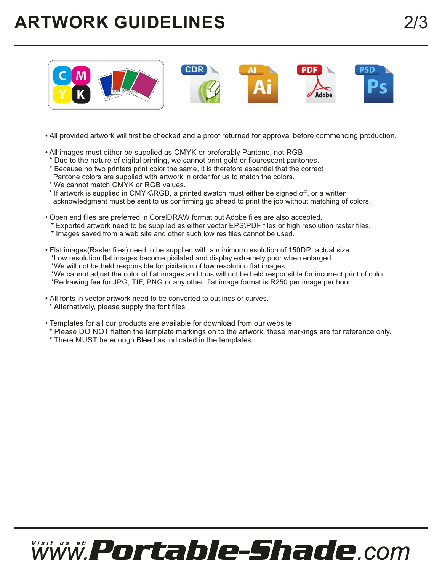#### **ARTWORK GUIDELINES**



- All provided artwork will first be checked and a proof returned for approval before commencing production.
- All images must either be supplied as CMYK or preferably Pantone, not RGB.
- \* Due to the nature of digital printing, we cannot print gold or flourescent pantones.
- \* Because no two printers print color the same, it is therefore essential that the correct Pantone colors are supplied with artwork in order for us to match the colors.
- \* We cannot match CMYK or RGB values.
- \* If artwork is supplied in CMYK\RGB, a printed swatch must either be signed off, or a written acknowledgment must be sent to us confirming go ahead to print the job without matching of colors.
- Open end files are preferred in CorelDRAW format but Adobe files are also accepted.
	- \* Exported artwork need to be supplied as either vector EPS\PDF files or high resolution raster files.
	- \* Images saved from a web site and other such low res files cannot be used.

• Flat images(Raster files) need to be supplied with a minimum resolution of 150DPI actual size.

- \*Low resolution flat images become pixilated and display extremely poor when enlarged.
- \*We will not be held responsible for pixilation of low resolution flat images.

\*We cannot adjust the color of flat images and thus will not be held responsible for incorrect print of color.

- \*Redrawing fee for JPG, TIF, PNG or any other flat image format is R250 per image per hour.
- All fonts in vector artwork need to be converted to outlines or curves. \* Alternatively, please supply the font files
- Templates for all our products are available for download from our website.
- \* Please DO NOT flatten the template markings on to the artwork, these markings are for reference only.
- \* There MUST be enough Bleed as indicated in the templates.

# www.Portable-Shade.com